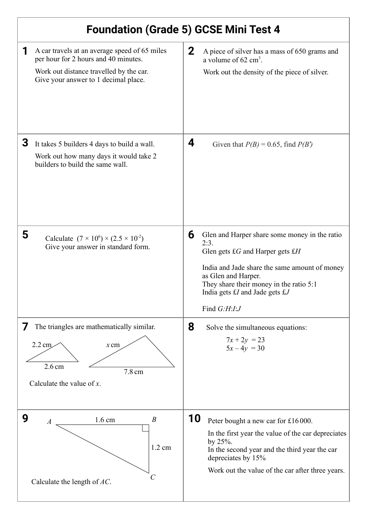| <b>Foundation (Grade 5) GCSE Mini Test 4</b>                                                                                                                             |                                                                                                                                                                                                                                                                                      |
|--------------------------------------------------------------------------------------------------------------------------------------------------------------------------|--------------------------------------------------------------------------------------------------------------------------------------------------------------------------------------------------------------------------------------------------------------------------------------|
| A car travels at an average speed of 65 miles<br>per hour for 2 hours and 40 minutes.<br>Work out distance travelled by the car.<br>Give your answer to 1 decimal place. | $\mathbf{2}$<br>A piece of silver has a mass of 650 grams and<br>a volume of $62 \text{ cm}^3$ .<br>Work out the density of the piece of silver.                                                                                                                                     |
| 3<br>It takes 5 builders 4 days to build a wall.<br>Work out how many days it would take 2<br>builders to build the same wall.                                           | 4<br>Given that $P(B) = 0.65$ , find $P(B')$                                                                                                                                                                                                                                         |
| 5<br>Calculate $(7 \times 10^6) \times (2.5 \times 10^2)$<br>Give your answer in standard form.                                                                          | 6<br>Glen and Harper share some money in the ratio<br>2:3.<br>Glen gets $\pounds G$ and Harper gets $\pounds H$<br>India and Jade share the same amount of money<br>as Glen and Harper.<br>They share their money in the ratio 5:1<br>India gets £I and Jade gets £J<br>Find G:H:I:J |
| The triangles are mathematically similar.<br>7<br>$2.2 \text{ cm}$<br>$x$ cm<br>2.6 <sub>cm</sub><br>7.8 cm<br>Calculate the value of $x$ .                              | 8<br>Solve the simultaneous equations:<br>$7x + 2y = 23$<br>$5x-4y = 30$                                                                                                                                                                                                             |
| 9<br>$\boldsymbol{B}$<br>1.6 cm<br>$\boldsymbol{A}$<br>1.2 cm<br>C<br>Calculate the length of $AC$ .                                                                     | 10<br>Peter bought a new car for £16000.<br>In the first year the value of the car depreciates<br>by $25%$ .<br>In the second year and the third year the car<br>depreciates by 15%<br>Work out the value of the car after three years.                                              |